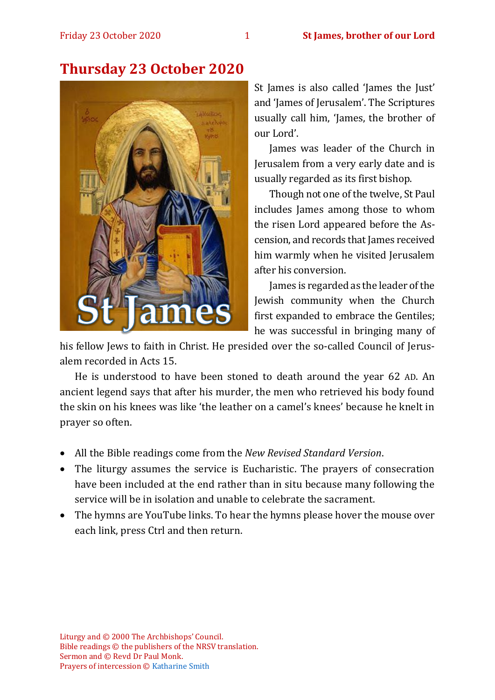# **Thursday 23 October 2020**



St James is also called 'James the Just' and 'James of Jerusalem'. The Scriptures usually call him, 'James, the brother of our Lord'.

James was leader of the Church in Jerusalem from a very early date and is usually regarded as its first bishop.

Though not one of the twelve, St Paul includes James among those to whom the risen Lord appeared before the Ascension, and records that James received him warmly when he visited Jerusalem after his conversion.

James is regarded as the leader of the Jewish community when the Church first expanded to embrace the Gentiles; he was successful in bringing many of

his fellow Jews to faith in Christ. He presided over the so-called Council of Jerusalem recorded in Acts 15.

He is understood to have been stoned to death around the year 62 AD. An ancient legend says that after his murder, the men who retrieved his body found the skin on his knees was like 'the leather on a camel's knees' because he knelt in prayer so often.

- All the Bible readings come from the *New Revised Standard Version*.
- The liturgy assumes the service is Eucharistic. The prayers of consecration have been included at the end rather than in situ because many following the service will be in isolation and unable to celebrate the sacrament.
- The hymns are YouTube links. To hear the hymns please hover the mouse over each link, press Ctrl and then return.

Liturgy and © 2000 The Archbishops' Council. Bible readings © the publishers of the NRSV translation. Sermon and © Revd Dr Paul Monk. Prayers of intercession © [Katharine Smith](https://www.katharinesmith.org.uk/common-worship-lectionary/saints-days-and-festivals-years-a-b-and-c/intercessions-for-st-james-the-apostle-25-july-years-a-b-c/)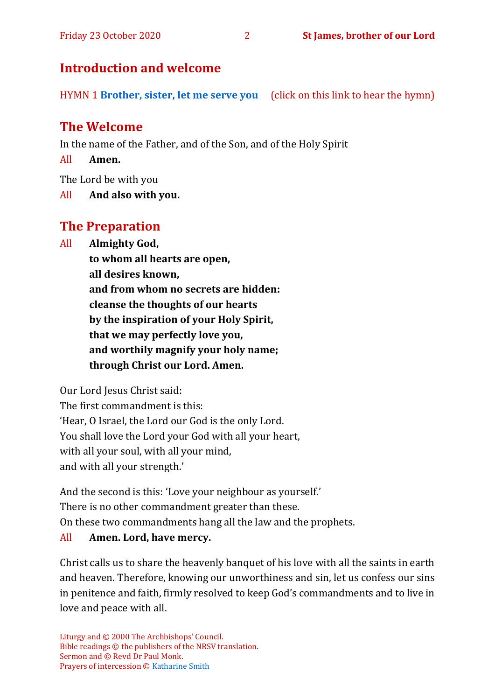# **Introduction and welcome**

HYMN 1 **[Brother, sister, let me serve you](https://www.youtube.com/watch?v=hlNoxoOocZs)** (click on this link to hear the hymn)

# **The Welcome**

In the name of the Father, and of the Son, and of the Holy Spirit

All **Amen.**

The Lord be with you

All **And also with you.**

# **The Preparation**

All **Almighty God,**

**to whom all hearts are open, all desires known, and from whom no secrets are hidden: cleanse the thoughts of our hearts by the inspiration of your Holy Spirit, that we may perfectly love you, and worthily magnify your holy name; through Christ our Lord. Amen.**

Our Lord Jesus Christ said:

The first commandment is this: 'Hear, O Israel, the Lord our God is the only Lord. You shall love the Lord your God with all your heart, with all your soul, with all your mind, and with all your strength.'

And the second is this: 'Love your neighbour as yourself.' There is no other commandment greater than these. On these two commandments hang all the law and the prophets.

#### All **Amen. Lord, have mercy.**

Christ calls us to share the heavenly banquet of his love with all the saints in earth and heaven. Therefore, knowing our unworthiness and sin, let us confess our sins in penitence and faith, firmly resolved to keep God's commandments and to live in love and peace with all.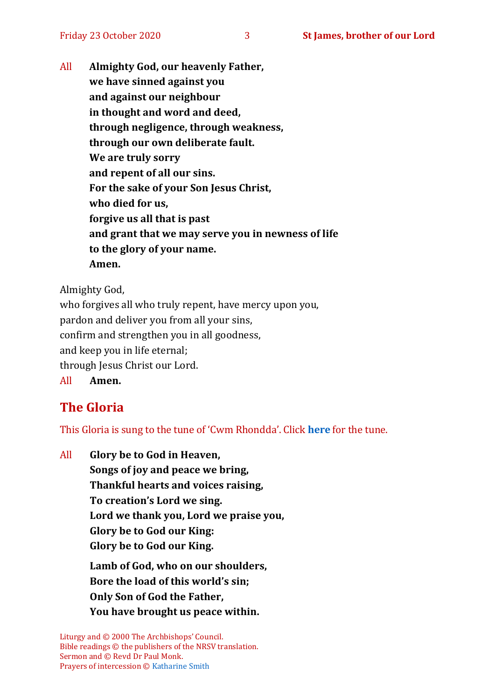All **Almighty God, our heavenly Father, we have sinned against you and against our neighbour in thought and word and deed, through negligence, through weakness, through our own deliberate fault. We are truly sorry and repent of all our sins. For the sake of your Son Jesus Christ, who died for us, forgive us all that is past and grant that we may serve you in newness of life to the glory of your name. Amen.**

Almighty God,

who forgives all who truly repent, have mercy upon you, pardon and deliver you from all your sins, confirm and strengthen you in all goodness, and keep you in life eternal; through Jesus Christ our Lord. All **Amen.**

# **The Gloria**

This Gloria is sung to the tune of 'Cwm Rhondda'. Click **[here](about:blank)** for the tune.

All **Glory be to God in Heaven, Songs of joy and peace we bring, Thankful hearts and voices raising, To creation's Lord we sing. Lord we thank you, Lord we praise you, Glory be to God our King: Glory be to God our King. Lamb of God, who on our shoulders,**

**Bore the load of this world's sin; Only Son of God the Father, You have brought us peace within.**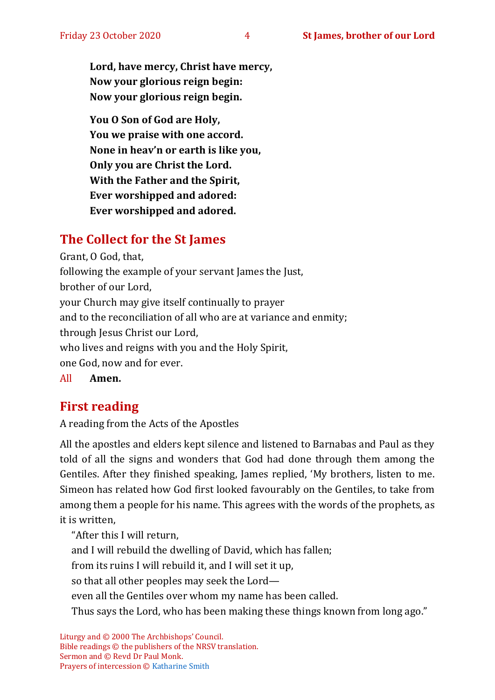**Lord, have mercy, Christ have mercy, Now your glorious reign begin: Now your glorious reign begin.**

**You O Son of God are Holy, You we praise with one accord. None in heav'n or earth is like you, Only you are Christ the Lord. With the Father and the Spirit, Ever worshipped and adored: Ever worshipped and adored.**

# **The Collect for the St James**

Grant, O God, that, following the example of your servant James the Just, brother of our Lord, your Church may give itself continually to prayer and to the reconciliation of all who are at variance and enmity; through Jesus Christ our Lord, who lives and reigns with you and the Holy Spirit, one God, now and for ever.

All **Amen.**

# **First reading**

A reading from the Acts of the Apostles

All the apostles and elders kept silence and listened to Barnabas and Paul as they told of all the signs and wonders that God had done through them among the Gentiles. After they finished speaking, James replied, 'My brothers, listen to me. Simeon has related how God first looked favourably on the Gentiles, to take from among them a people for his name. This agrees with the words of the prophets, as it is written,

"After this I will return, and I will rebuild the dwelling of David, which has fallen; from its ruins I will rebuild it, and I will set it up, so that all other peoples may seek the Lord even all the Gentiles over whom my name has been called. Thus says the Lord, who has been making these things known from long ago."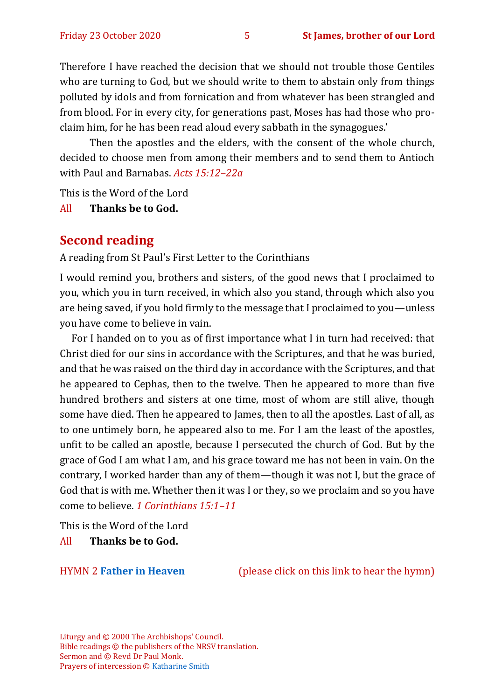Therefore I have reached the decision that we should not trouble those Gentiles who are turning to God, but we should write to them to abstain only from things polluted by idols and from fornication and from whatever has been strangled and from blood. For in every city, for generations past, Moses has had those who proclaim him, for he has been read aloud every sabbath in the synagogues.'

Then the apostles and the elders, with the consent of the whole church, decided to choose men from among their members and to send them to Antioch with Paul and Barnabas. *Acts 15:12–22a*

This is the Word of the Lord

All **Thanks be to God.**

#### **Second reading**

A reading from St Paul's First Letter to the Corinthians

I would remind you, brothers and sisters, of the good news that I proclaimed to you, which you in turn received, in which also you stand, through which also you are being saved, if you hold firmly to the message that I proclaimed to you—unless you have come to believe in vain.

For I handed on to you as of first importance what I in turn had received: that Christ died for our sins in accordance with the Scriptures, and that he was buried, and that he was raised on the third day in accordance with the Scriptures, and that he appeared to Cephas, then to the twelve. Then he appeared to more than five hundred brothers and sisters at one time, most of whom are still alive, though some have died. Then he appeared to James, then to all the apostles. Last of all, as to one untimely born, he appeared also to me. For I am the least of the apostles, unfit to be called an apostle, because I persecuted the church of God. But by the grace of God I am what I am, and his grace toward me has not been in vain. On the contrary, I worked harder than any of them—though it was not I, but the grace of God that is with me. Whether then it was I or they, so we proclaim and so you have come to believe. *1 Corinthians 15:1–11*

This is the Word of the Lord

All **Thanks be to God.**

HYMN 2 **[Father in Heaven](https://www.youtube.com/watch?v=BamB290iJU0)** (please click on this link to hear the hymn)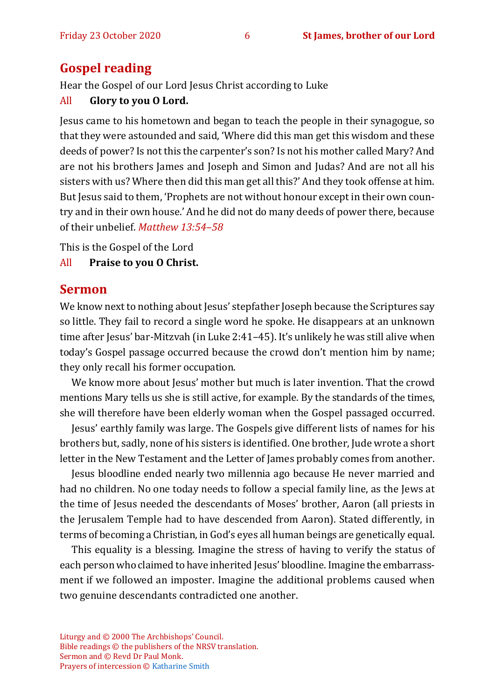# **Gospel reading**

Hear the Gospel of our Lord Jesus Christ according to Luke

#### All **Glory to you O Lord.**

Jesus came to his hometown and began to teach the people in their synagogue, so that they were astounded and said, 'Where did this man get this wisdom and these deeds of power? Is not this the carpenter's son? Is not his mother called Mary? And are not his brothers James and Joseph and Simon and Judas? And are not all his sisters with us? Where then did this man get all this?' And they took offense at him. But Jesus said to them, 'Prophets are not without honour except in their own country and in their own house.' And he did not do many deeds of power there, because of their unbelief. *Matthew 13:54–58*

This is the Gospel of the Lord

All **Praise to you O Christ.** 

# **Sermon**

We know next to nothing about Jesus' stepfather Joseph because the Scriptures say so little. They fail to record a single word he spoke. He disappears at an unknown time after Jesus' bar-Mitzvah (in Luke 2:41–45). It's unlikely he was still alive when today's Gospel passage occurred because the crowd don't mention him by name; they only recall his former occupation.

We know more about Jesus' mother but much is later invention. That the crowd mentions Mary tells us she is still active, for example. By the standards of the times, she will therefore have been elderly woman when the Gospel passaged occurred.

Jesus' earthly family was large. The Gospels give different lists of names for his brothers but, sadly, none of his sisters is identified. One brother, Jude wrote a short letter in the New Testament and the Letter of James probably comes from another.

Jesus bloodline ended nearly two millennia ago because He never married and had no children. No one today needs to follow a special family line, as the Jews at the time of Jesus needed the descendants of Moses' brother, Aaron (all priests in the Jerusalem Temple had to have descended from Aaron). Stated differently, in terms of becoming a Christian, in God's eyes all human beings are genetically equal.

This equality is a blessing. Imagine the stress of having to verify the status of each person who claimed to have inherited Jesus' bloodline. Imagine the embarrassment if we followed an imposter. Imagine the additional problems caused when two genuine descendants contradicted one another.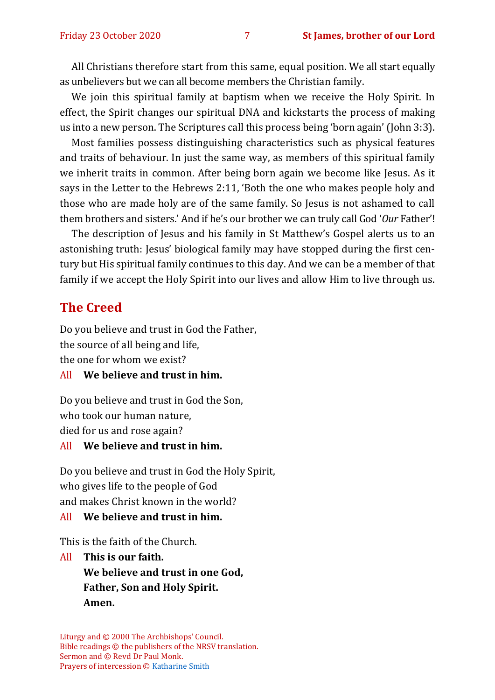All Christians therefore start from this same, equal position. We all start equally as unbelievers but we can all become members the Christian family.

We join this spiritual family at baptism when we receive the Holy Spirit. In effect, the Spirit changes our spiritual DNA and kickstarts the process of making us into a new person. The Scriptures call this process being 'born again' (John 3:3).

Most families possess distinguishing characteristics such as physical features and traits of behaviour. In just the same way, as members of this spiritual family we inherit traits in common. After being born again we become like Jesus. As it says in the Letter to the Hebrews 2:11, 'Both the one who makes people holy and those who are made holy are of the same family. So Jesus is not ashamed to call them brothers and sisters.' And if he's our brother we can truly call God '*Our* Father'!

The description of Jesus and his family in St Matthew's Gospel alerts us to an astonishing truth: Jesus' biological family may have stopped during the first century but His spiritual family continues to this day. And we can be a member of that family if we accept the Holy Spirit into our lives and allow Him to live through us.

#### **The Creed**

Do you believe and trust in God the Father, the source of all being and life, the one for whom we exist?

#### All **We believe and trust in him.**

Do you believe and trust in God the Son, who took our human nature, died for us and rose again?

#### All **We believe and trust in him.**

Do you believe and trust in God the Holy Spirit, who gives life to the people of God and makes Christ known in the world?

#### All **We believe and trust in him.**

This is the faith of the Church.

All **This is our faith. We believe and trust in one God, Father, Son and Holy Spirit. Amen.**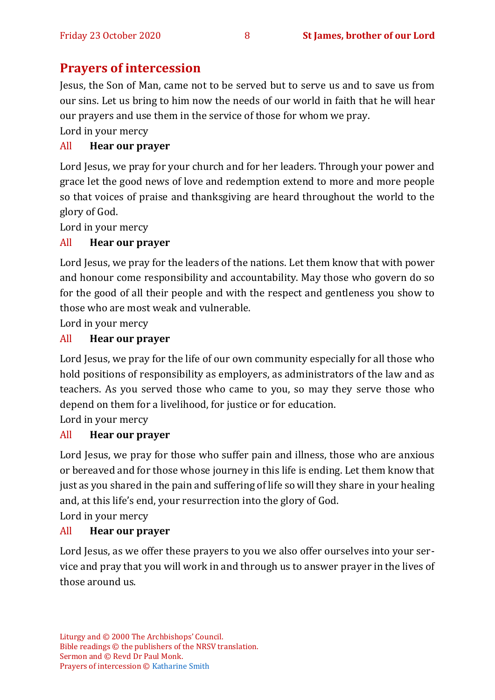# **Prayers of intercession**

Jesus, the Son of Man, came not to be served but to serve us and to save us from our sins. Let us bring to him now the needs of our world in faith that he will hear our prayers and use them in the service of those for whom we pray.

Lord in your mercy

#### All **Hear our prayer**

Lord Jesus, we pray for your church and for her leaders. Through your power and grace let the good news of love and redemption extend to more and more people so that voices of praise and thanksgiving are heard throughout the world to the glory of God.

Lord in your mercy

#### All **Hear our prayer**

Lord Jesus, we pray for the leaders of the nations. Let them know that with power and honour come responsibility and accountability. May those who govern do so for the good of all their people and with the respect and gentleness you show to those who are most weak and vulnerable.

Lord in your mercy

#### All **Hear our prayer**

Lord Jesus, we pray for the life of our own community especially for all those who hold positions of responsibility as employers, as administrators of the law and as teachers. As you served those who came to you, so may they serve those who depend on them for a livelihood, for justice or for education.

Lord in your mercy

#### All **Hear our prayer**

Lord Jesus, we pray for those who suffer pain and illness, those who are anxious or bereaved and for those whose journey in this life is ending. Let them know that just as you shared in the pain and suffering of life so will they share in your healing and, at this life's end, your resurrection into the glory of God.

Lord in your mercy

#### All **Hear our prayer**

Lord Jesus, as we offer these prayers to you we also offer ourselves into your service and pray that you will work in and through us to answer prayer in the lives of those around us.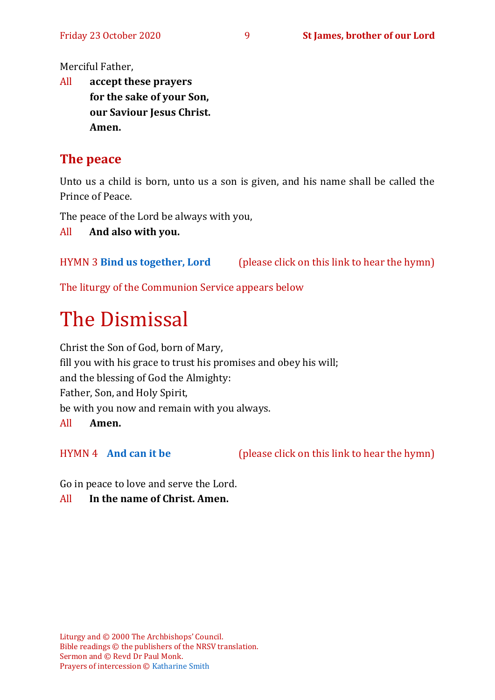Merciful Father,

All **accept these prayers for the sake of your Son, our Saviour Jesus Christ. Amen.**

# **The peace**

Unto us a child is born, unto us a son is given, and his name shall be called the Prince of Peace.

The peace of the Lord be always with you,

All **And also with you.**

HYMN 3 **[Bind us together, Lord](https://www.youtube.com/watch?v=DSwDUr_TJ70)** (please click on this link to hear the hymn)

The liturgy of the Communion Service appears below

# The Dismissal

Christ the Son of God, born of Mary, fill you with his grace to trust his promises and obey his will; and the blessing of God the Almighty: Father, Son, and Holy Spirit, be with you now and remain with you always. All **Amen.**

HYMN 4 **[And can it be](https://www.youtube.com/watch?v=uzDes9IVdzg)** (please click on this link to hear the hymn)

Go in peace to love and serve the Lord.

All **In the name of Christ. Amen.**

Liturgy and © 2000 The Archbishops' Council. Bible readings © the publishers of the NRSV translation. Sermon and © Revd Dr Paul Monk. Prayers of intercession © [Katharine Smith](https://www.katharinesmith.org.uk/common-worship-lectionary/saints-days-and-festivals-years-a-b-and-c/intercessions-for-st-james-the-apostle-25-july-years-a-b-c/)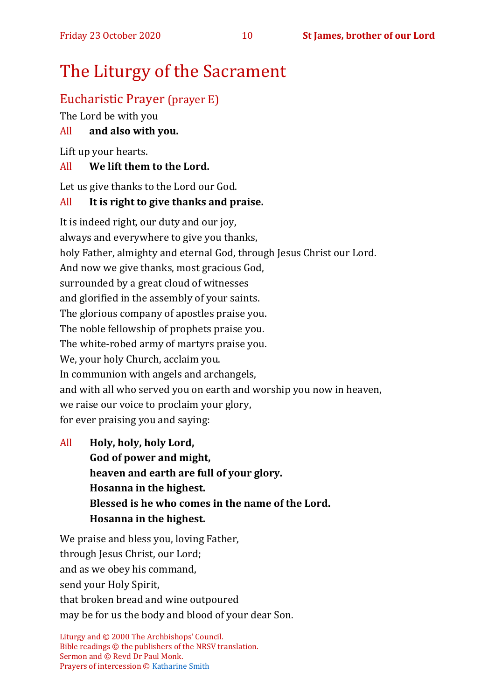# The Liturgy of the Sacrament

# Eucharistic Prayer (prayer E)

The Lord be with you

### All **and also with you.**

Lift up your hearts.

#### All **We lift them to the Lord.**

Let us give thanks to the Lord our God.

### All **It is right to give thanks and praise.**

It is indeed right, our duty and our joy, always and everywhere to give you thanks, holy Father, almighty and eternal God, through Jesus Christ our Lord. And now we give thanks, most gracious God, surrounded by a great cloud of witnesses and glorified in the assembly of your saints. The glorious company of apostles praise you. The noble fellowship of prophets praise you. The white-robed army of martyrs praise you. We, your holy Church, acclaim you. In communion with angels and archangels, and with all who served you on earth and worship you now in heaven, we raise our voice to proclaim your glory, for ever praising you and saying:

All **Holy, holy, holy Lord, God of power and might, heaven and earth are full of your glory. Hosanna in the highest. Blessed is he who comes in the name of the Lord. Hosanna in the highest.**

We praise and bless you, loving Father, through Jesus Christ, our Lord; and as we obey his command, send your Holy Spirit, that broken bread and wine outpoured may be for us the body and blood of your dear Son.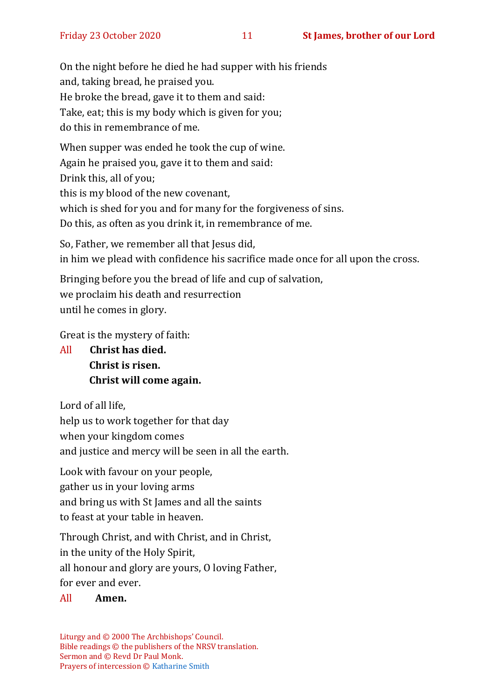On the night before he died he had supper with his friends and, taking bread, he praised you. He broke the bread, gave it to them and said: Take, eat; this is my body which is given for you; do this in remembrance of me.

When supper was ended he took the cup of wine. Again he praised you, gave it to them and said: Drink this, all of you; this is my blood of the new covenant, which is shed for you and for many for the forgiveness of sins. Do this, as often as you drink it, in remembrance of me.

So, Father, we remember all that Jesus did, in him we plead with confidence his sacrifice made once for all upon the cross.

Bringing before you the bread of life and cup of salvation, we proclaim his death and resurrection until he comes in glory.

Great is the mystery of faith:

All **Christ has died. Christ is risen. Christ will come again.**

Lord of all life, help us to work together for that day when your kingdom comes and justice and mercy will be seen in all the earth.

Look with favour on your people, gather us in your loving arms and bring us with St James and all the saints to feast at your table in heaven.

Through Christ, and with Christ, and in Christ, in the unity of the Holy Spirit, all honour and glory are yours, O loving Father, for ever and ever.

#### All **Amen.**

Liturgy and © 2000 The Archbishops' Council. Bible readings © the publishers of the NRSV translation. Sermon and © Revd Dr Paul Monk. Prayers of intercession © [Katharine Smith](https://www.katharinesmith.org.uk/common-worship-lectionary/saints-days-and-festivals-years-a-b-and-c/intercessions-for-st-james-the-apostle-25-july-years-a-b-c/)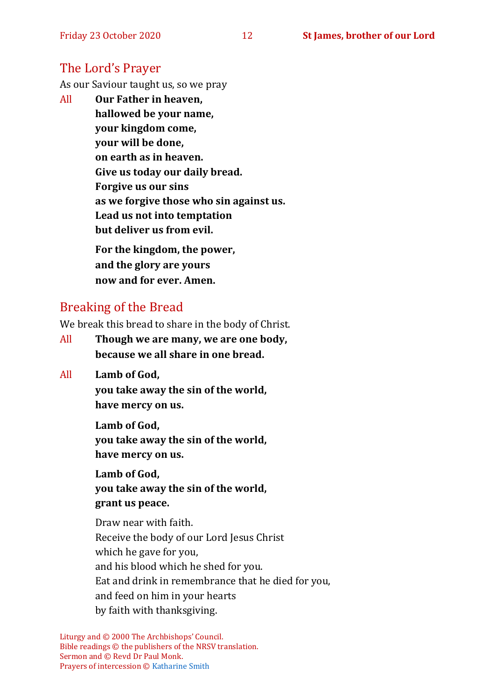# The Lord's Prayer

As our Saviour taught us, so we pray

All **Our Father in heaven, hallowed be your name, your kingdom come, your will be done, on earth as in heaven. Give us today our daily bread. Forgive us our sins as we forgive those who sin against us. Lead us not into temptation but deliver us from evil. For the kingdom, the power, and the glory are yours**

# Breaking of the Bread

We break this bread to share in the body of Christ.

**now and for ever. Amen.**

- All **Though we are many, we are one body, because we all share in one bread.**
- All **Lamb of God,**

**you take away the sin of the world, have mercy on us.**

**Lamb of God, you take away the sin of the world, have mercy on us.**

**Lamb of God, you take away the sin of the world, grant us peace.**

Draw near with faith. Receive the body of our Lord Jesus Christ which he gave for you, and his blood which he shed for you. Eat and drink in remembrance that he died for you, and feed on him in your hearts by faith with thanksgiving.